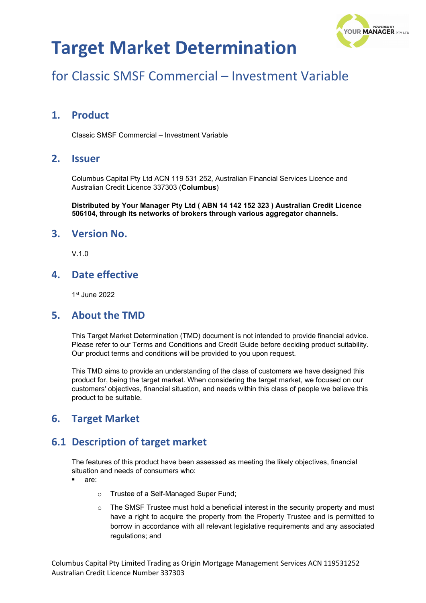

### for Classic SMSF Commercial – Investment Variable

#### **1. Product**

Classic SMSF Commercial – Investment Variable

#### **2. Issuer**

Columbus Capital Pty Ltd ACN 119 531 252, Australian Financial Services Licence and Australian Credit Licence 337303 (**Columbus**)

**Distributed by Your Manager Pty Ltd ( ABN 14 142 152 323 ) Australian Credit Licence 506104, through its networks of brokers through various aggregator channels.**

#### **3. Version No.**

V.1.0

#### **4. Date effective**

1st June 2022

#### **5. About the TMD**

This Target Market Determination (TMD) document is not intended to provide financial advice. Please refer to our Terms and Conditions and Credit Guide before deciding product suitability. Our product terms and conditions will be provided to you upon request.

This TMD aims to provide an understanding of the class of customers we have designed this product for, being the target market. When considering the target market, we focused on our customers' objectives, financial situation, and needs within this class of people we believe this product to be suitable.

#### **6. Target Market**

#### **6.1 Description of target market**

The features of this product have been assessed as meeting the likely objectives, financial situation and needs of consumers who:

- are:
	- o Trustee of a Self-Managed Super Fund;
	- $\circ$  The SMSF Trustee must hold a beneficial interest in the security property and must have a right to acquire the property from the Property Trustee and is permitted to borrow in accordance with all relevant legislative requirements and any associated regulations; and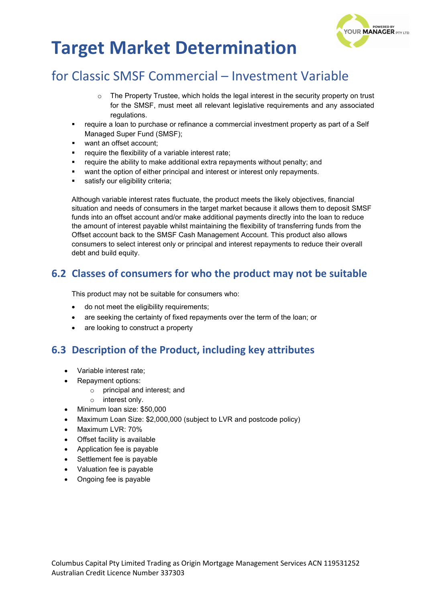

### for Classic SMSF Commercial – Investment Variable

- $\circ$  The Property Trustee, which holds the legal interest in the security property on trust for the SMSF, must meet all relevant legislative requirements and any associated regulations.
- require a loan to purchase or refinance a commercial investment property as part of a Self Managed Super Fund (SMSF);
- want an offset account:
- require the flexibility of a variable interest rate;
- require the ability to make additional extra repayments without penalty; and
- want the option of either principal and interest or interest only repayments.
- satisfy our eligibility criteria;

Although variable interest rates fluctuate, the product meets the likely objectives, financial situation and needs of consumers in the target market because it allows them to deposit SMSF funds into an offset account and/or make additional payments directly into the loan to reduce the amount of interest payable whilst maintaining the flexibility of transferring funds from the Offset account back to the SMSF Cash Management Account. This product also allows consumers to select interest only or principal and interest repayments to reduce their overall debt and build equity.

#### **6.2 Classes of consumers for who the product may not be suitable**

This product may not be suitable for consumers who:

- do not meet the eligibility requirements;
- are seeking the certainty of fixed repayments over the term of the loan; or
- are looking to construct a property

#### **6.3 Description of the Product, including key attributes**

- Variable interest rate;
- Repayment options:
	- o principal and interest; and
	- o interest only.
- Minimum loan size: \$50,000
- Maximum Loan Size: \$2,000,000 (subject to LVR and postcode policy)
- Maximum LVR: 70%
- Offset facility is available
- Application fee is payable
- Settlement fee is payable
- Valuation fee is payable
- Ongoing fee is payable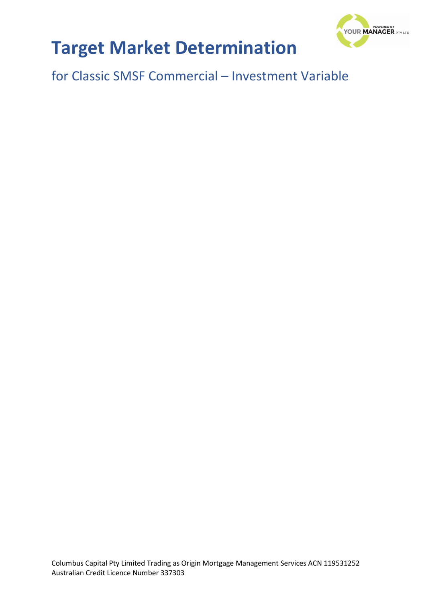

for Classic SMSF Commercial – Investment Variable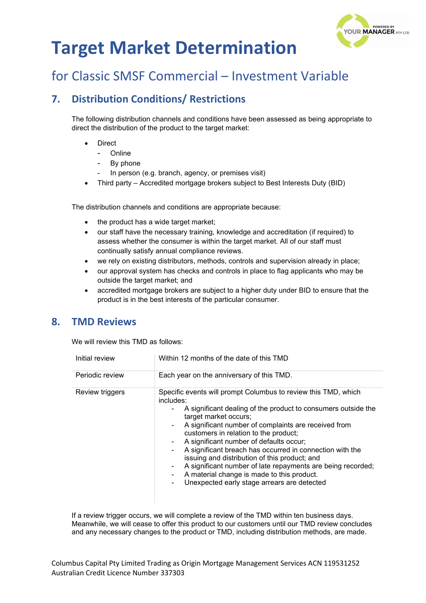

### for Classic SMSF Commercial – Investment Variable

#### **7. Distribution Conditions/ Restrictions**

The following distribution channels and conditions have been assessed as being appropriate to direct the distribution of the product to the target market:

- **Direct** 
	- **Online**
	- By phone
	- In person (e.g. branch, agency, or premises visit)
- Third party Accredited mortgage brokers subject to Best Interests Duty (BID)

The distribution channels and conditions are appropriate because:

- the product has a wide target market;
- our staff have the necessary training, knowledge and accreditation (if required) to assess whether the consumer is within the target market. All of our staff must continually satisfy annual compliance reviews.
- we rely on existing distributors, methods, controls and supervision already in place;
- our approval system has checks and controls in place to flag applicants who may be outside the target market; and
- accredited mortgage brokers are subject to a higher duty under BID to ensure that the product is in the best interests of the particular consumer.

#### **8. TMD Reviews**

We will review this TMD as follows:

| Initial review  | Within 12 months of the date of this TMD                                                                                                                                                                                                                                                                                                                                                                                                                                                                                                                                                                                         |  |
|-----------------|----------------------------------------------------------------------------------------------------------------------------------------------------------------------------------------------------------------------------------------------------------------------------------------------------------------------------------------------------------------------------------------------------------------------------------------------------------------------------------------------------------------------------------------------------------------------------------------------------------------------------------|--|
| Periodic review | Each year on the anniversary of this TMD.                                                                                                                                                                                                                                                                                                                                                                                                                                                                                                                                                                                        |  |
| Review triggers | Specific events will prompt Columbus to review this TMD, which<br>includes:<br>A significant dealing of the product to consumers outside the<br>۰.<br>target market occurs;<br>A significant number of complaints are received from<br>$\sim$<br>customers in relation to the product;<br>A significant number of defaults occur;<br>۰<br>A significant breach has occurred in connection with the<br>۰.<br>issuing and distribution of this product; and<br>A significant number of late repayments are being recorded;<br>۰<br>A material change is made to this product.<br>Unexpected early stage arrears are detected<br>۰. |  |

If a review trigger occurs, we will complete a review of the TMD within ten business days. Meanwhile, we will cease to offer this product to our customers until our TMD review concludes and any necessary changes to the product or TMD, including distribution methods, are made.